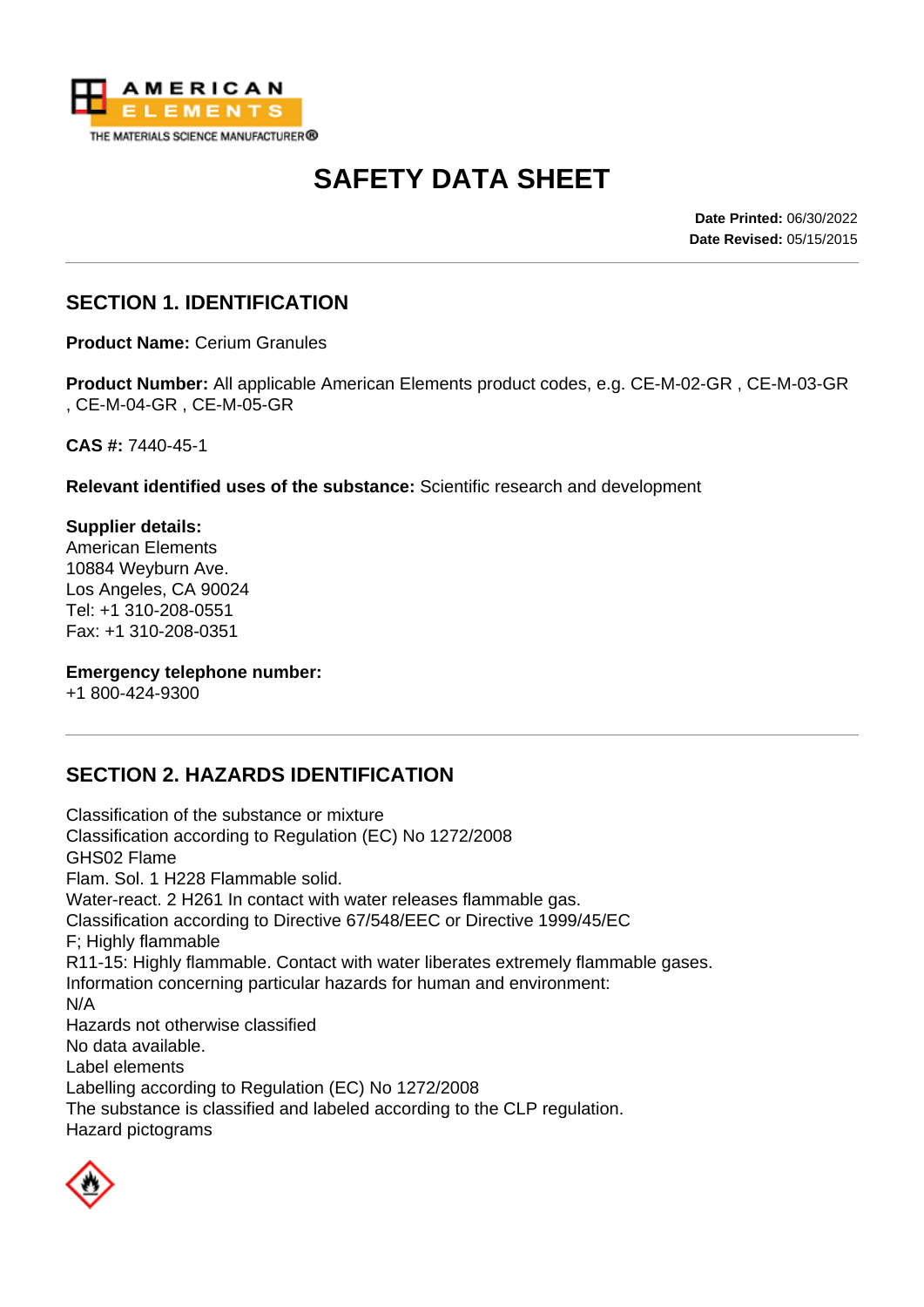

# **SAFETY DATA SHEET**

**Date Printed:** 06/30/2022 **Date Revised:** 05/15/2015

### **SECTION 1. IDENTIFICATION**

**Product Name:** Cerium Granules

**Product Number:** All applicable American Elements product codes, e.g. CE-M-02-GR , CE-M-03-GR , CE-M-04-GR , CE-M-05-GR

**CAS #:** 7440-45-1

**Relevant identified uses of the substance:** Scientific research and development

**Supplier details:** American Elements 10884 Weyburn Ave. Los Angeles, CA 90024 Tel: +1 310-208-0551 Fax: +1 310-208-0351

#### **Emergency telephone number:**

+1 800-424-9300

## **SECTION 2. HAZARDS IDENTIFICATION**

Classification of the substance or mixture Classification according to Regulation (EC) No 1272/2008 GHS02 Flame Flam. Sol. 1 H228 Flammable solid. Water-react. 2 H261 In contact with water releases flammable gas. Classification according to Directive 67/548/EEC or Directive 1999/45/EC F; Highly flammable R11-15: Highly flammable. Contact with water liberates extremely flammable gases. Information concerning particular hazards for human and environment: N/A Hazards not otherwise classified No data available. Label elements Labelling according to Regulation (EC) No 1272/2008 The substance is classified and labeled according to the CLP regulation. Hazard pictograms

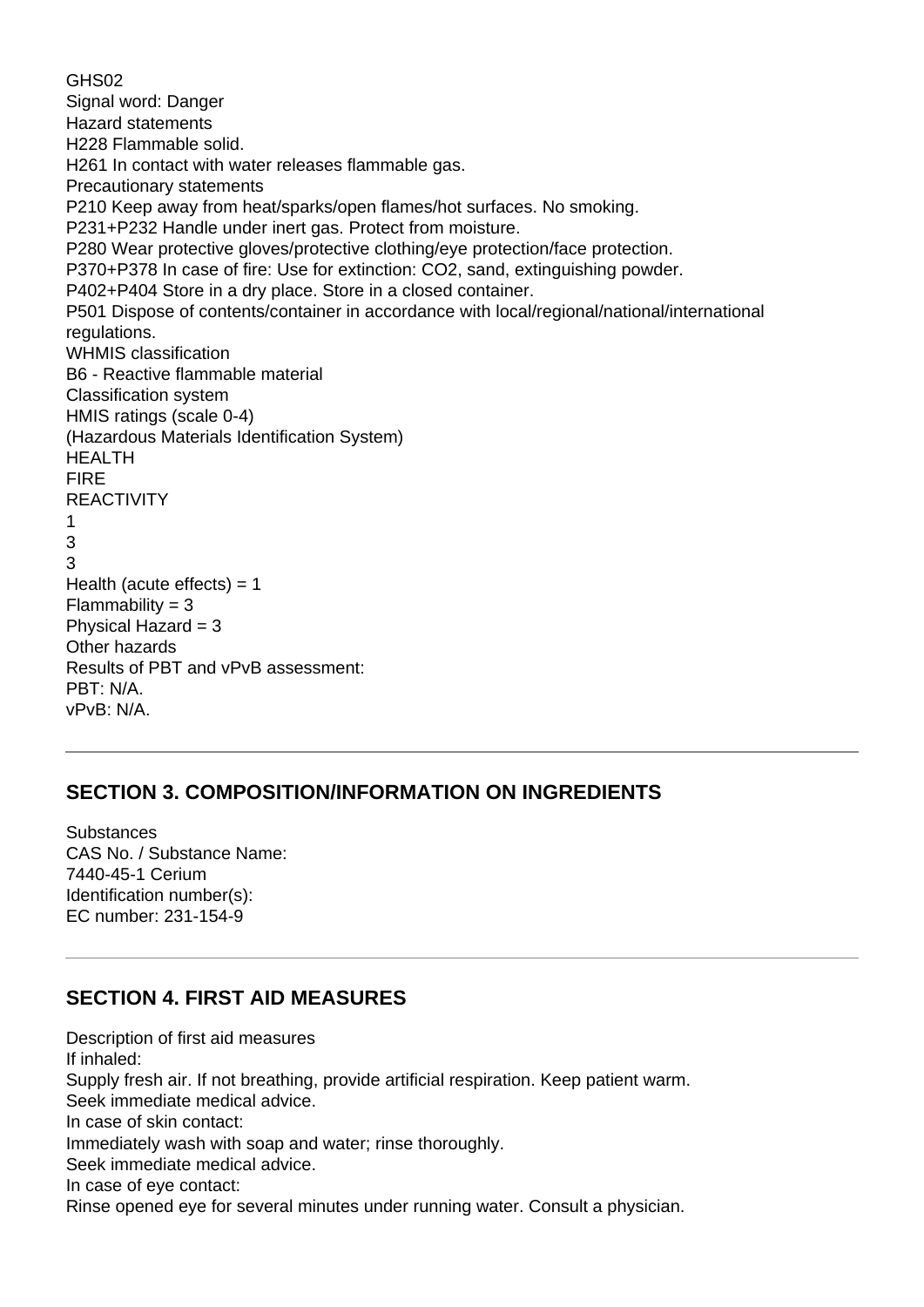GHS02 Signal word: Danger Hazard statements H228 Flammable solid. H261 In contact with water releases flammable gas. Precautionary statements P210 Keep away from heat/sparks/open flames/hot surfaces. No smoking. P231+P232 Handle under inert gas. Protect from moisture. P280 Wear protective gloves/protective clothing/eye protection/face protection. P370+P378 In case of fire: Use for extinction: CO2, sand, extinguishing powder. P402+P404 Store in a dry place. Store in a closed container. P501 Dispose of contents/container in accordance with local/regional/national/international regulations. WHMIS classification B6 - Reactive flammable material Classification system HMIS ratings (scale 0-4) (Hazardous Materials Identification System) HEALTH FIRE REACTIVITY 1 3 3 Health (acute effects)  $= 1$  $Flammability = 3$ Physical Hazard  $= 3$ Other hazards Results of PBT and vPvB assessment: PBT: N/A. vPvB: N/A.

#### **SECTION 3. COMPOSITION/INFORMATION ON INGREDIENTS**

**Substances** CAS No. / Substance Name: 7440-45-1 Cerium Identification number(s): EC number: 231-154-9

#### **SECTION 4. FIRST AID MEASURES**

Description of first aid measures If inhaled: Supply fresh air. If not breathing, provide artificial respiration. Keep patient warm. Seek immediate medical advice. In case of skin contact: Immediately wash with soap and water; rinse thoroughly. Seek immediate medical advice. In case of eye contact: Rinse opened eye for several minutes under running water. Consult a physician.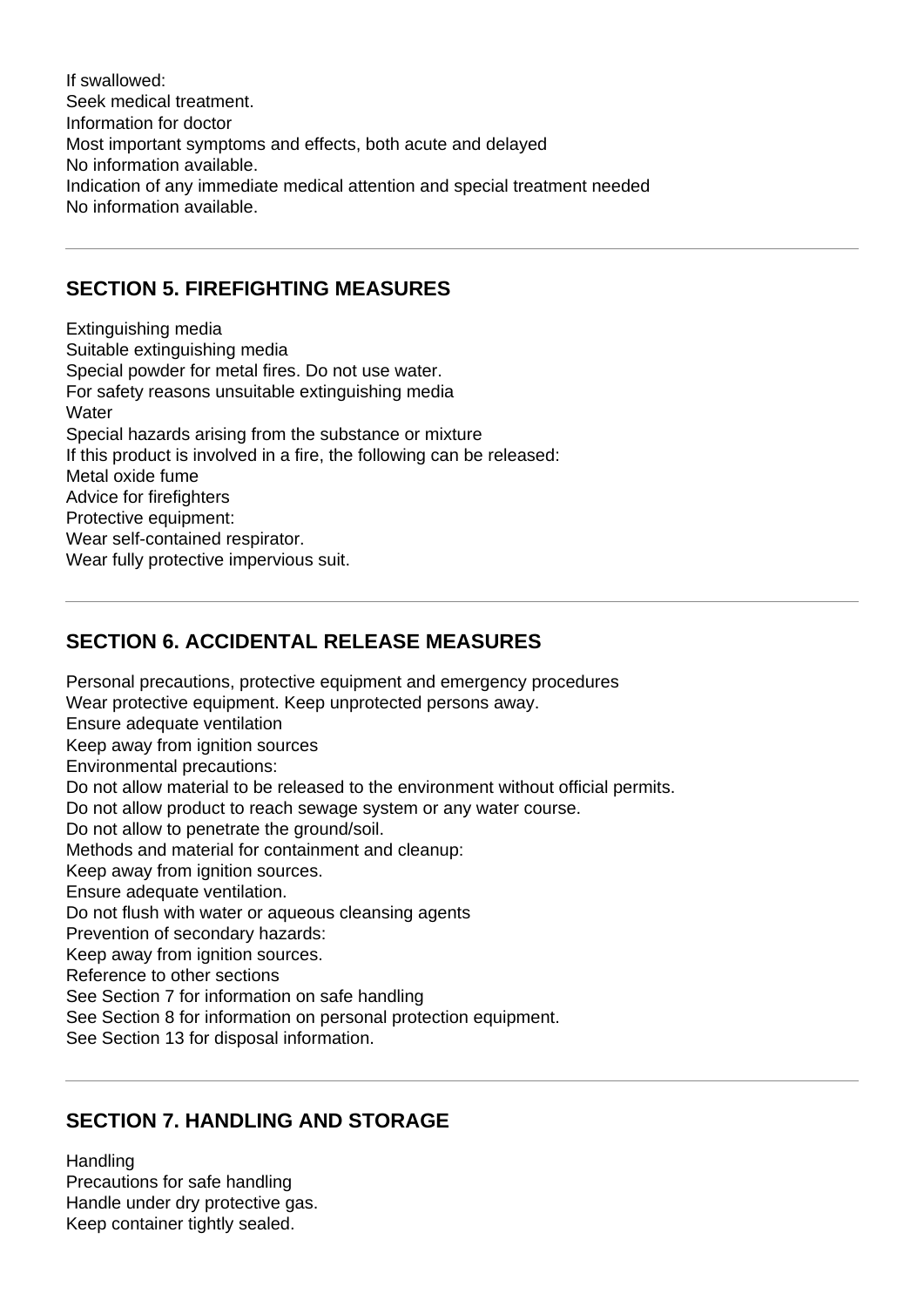If swallowed: Seek medical treatment. Information for doctor Most important symptoms and effects, both acute and delayed No information available. Indication of any immediate medical attention and special treatment needed No information available.

#### **SECTION 5. FIREFIGHTING MEASURES**

Extinguishing media Suitable extinguishing media Special powder for metal fires. Do not use water. For safety reasons unsuitable extinguishing media **Water** Special hazards arising from the substance or mixture If this product is involved in a fire, the following can be released: Metal oxide fume Advice for firefighters Protective equipment: Wear self-contained respirator. Wear fully protective impervious suit.

## **SECTION 6. ACCIDENTAL RELEASE MEASURES**

Personal precautions, protective equipment and emergency procedures Wear protective equipment. Keep unprotected persons away. Ensure adequate ventilation Keep away from ignition sources Environmental precautions: Do not allow material to be released to the environment without official permits. Do not allow product to reach sewage system or any water course. Do not allow to penetrate the ground/soil. Methods and material for containment and cleanup: Keep away from ignition sources. Ensure adequate ventilation. Do not flush with water or aqueous cleansing agents Prevention of secondary hazards: Keep away from ignition sources. Reference to other sections See Section 7 for information on safe handling See Section 8 for information on personal protection equipment. See Section 13 for disposal information.

#### **SECTION 7. HANDLING AND STORAGE**

**Handling** Precautions for safe handling Handle under dry protective gas. Keep container tightly sealed.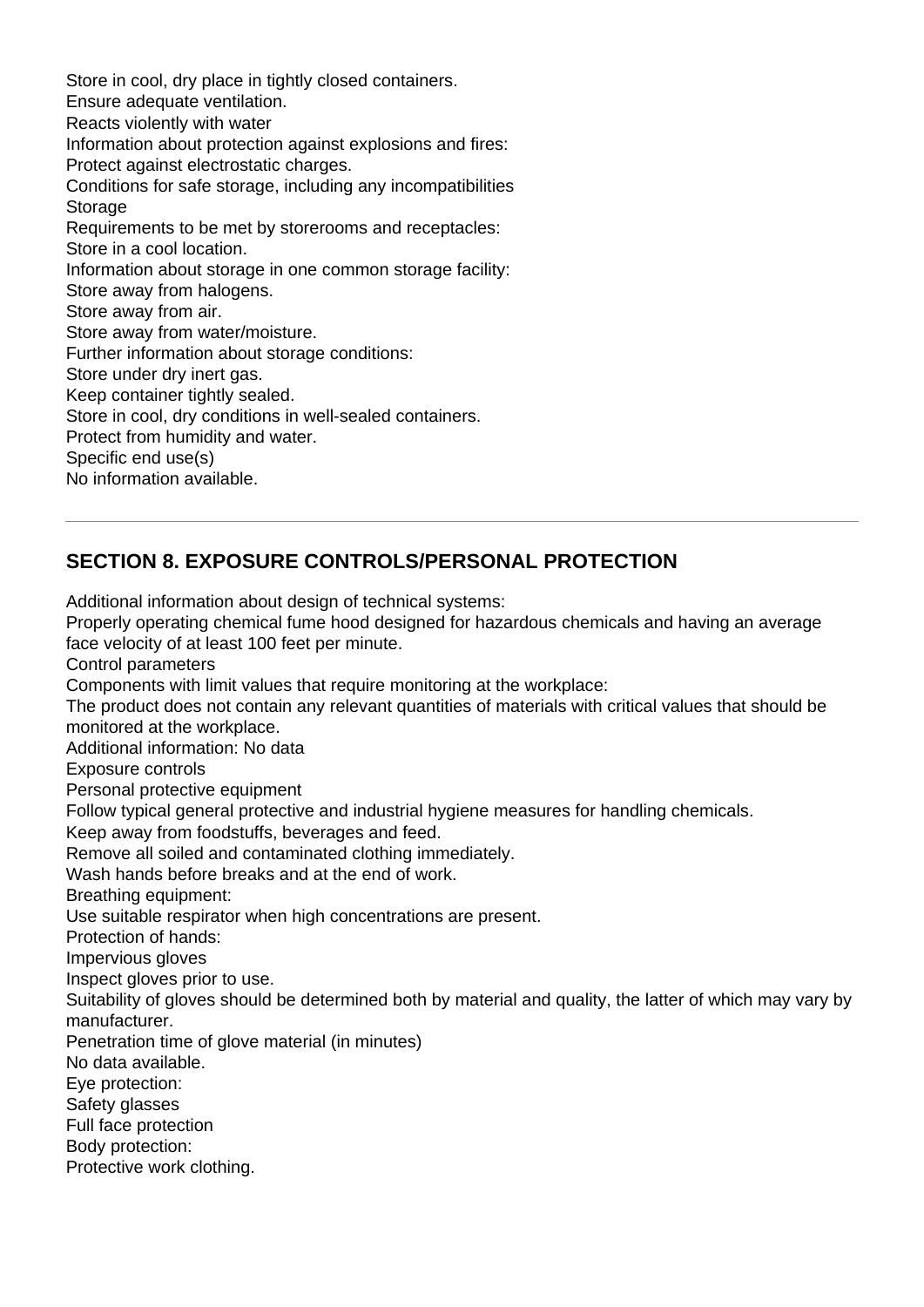Store in cool, dry place in tightly closed containers. Ensure adequate ventilation. Reacts violently with water Information about protection against explosions and fires: Protect against electrostatic charges. Conditions for safe storage, including any incompatibilities **Storage** Requirements to be met by storerooms and receptacles: Store in a cool location. Information about storage in one common storage facility: Store away from halogens. Store away from air. Store away from water/moisture. Further information about storage conditions: Store under dry inert gas. Keep container tightly sealed. Store in cool, dry conditions in well-sealed containers. Protect from humidity and water. Specific end use(s) No information available.

## **SECTION 8. EXPOSURE CONTROLS/PERSONAL PROTECTION**

Additional information about design of technical systems: Properly operating chemical fume hood designed for hazardous chemicals and having an average face velocity of at least 100 feet per minute. Control parameters Components with limit values that require monitoring at the workplace: The product does not contain any relevant quantities of materials with critical values that should be monitored at the workplace. Additional information: No data Exposure controls Personal protective equipment Follow typical general protective and industrial hygiene measures for handling chemicals. Keep away from foodstuffs, beverages and feed. Remove all soiled and contaminated clothing immediately. Wash hands before breaks and at the end of work. Breathing equipment: Use suitable respirator when high concentrations are present. Protection of hands: Impervious gloves Inspect gloves prior to use. Suitability of gloves should be determined both by material and quality, the latter of which may vary by manufacturer. Penetration time of glove material (in minutes) No data available. Eye protection: Safety glasses Full face protection Body protection: Protective work clothing.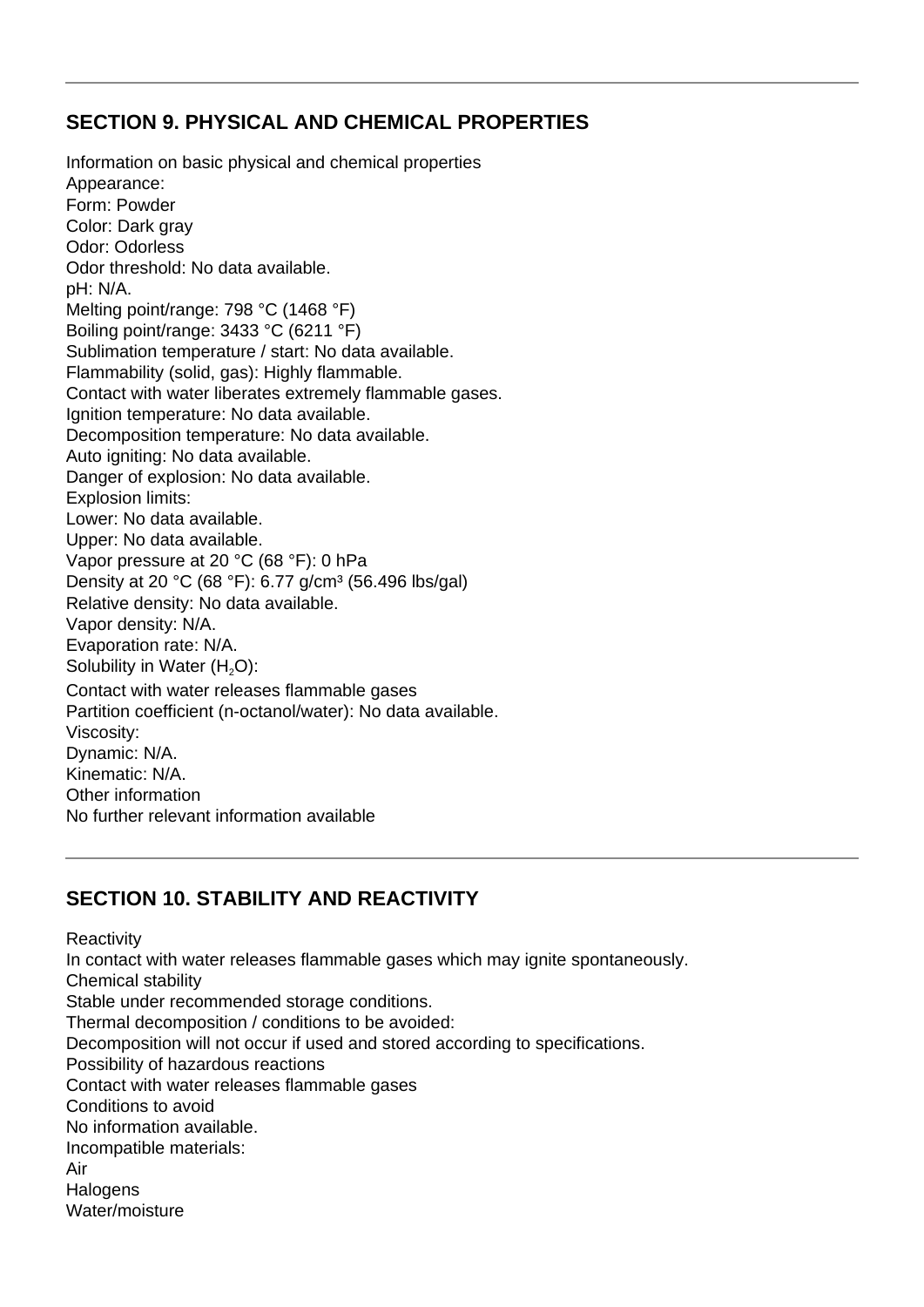### **SECTION 9. PHYSICAL AND CHEMICAL PROPERTIES**

Information on basic physical and chemical properties Appearance: Form: Powder Color: Dark gray Odor: Odorless Odor threshold: No data available. pH: N/A. Melting point/range: 798 °C (1468 °F) Boiling point/range: 3433 °C (6211 °F) Sublimation temperature / start: No data available. Flammability (solid, gas): Highly flammable. Contact with water liberates extremely flammable gases. Ignition temperature: No data available. Decomposition temperature: No data available. Auto igniting: No data available. Danger of explosion: No data available. Explosion limits: Lower: No data available. Upper: No data available. Vapor pressure at 20 °C (68 °F): 0 hPa Density at 20 °C (68 °F): 6.77 g/cm<sup>3</sup> (56.496 lbs/gal) Relative density: No data available. Vapor density: N/A. Evaporation rate: N/A. Solubility in Water (H<sub>2</sub>O): Contact with water releases flammable gases Partition coefficient (n-octanol/water): No data available. Viscosity: Dynamic: N/A. Kinematic: N/A. Other information No further relevant information available

## **SECTION 10. STABILITY AND REACTIVITY**

**Reactivity** In contact with water releases flammable gases which may ignite spontaneously. Chemical stability Stable under recommended storage conditions. Thermal decomposition / conditions to be avoided: Decomposition will not occur if used and stored according to specifications. Possibility of hazardous reactions Contact with water releases flammable gases Conditions to avoid No information available. Incompatible materials: Air **Halogens** Water/moisture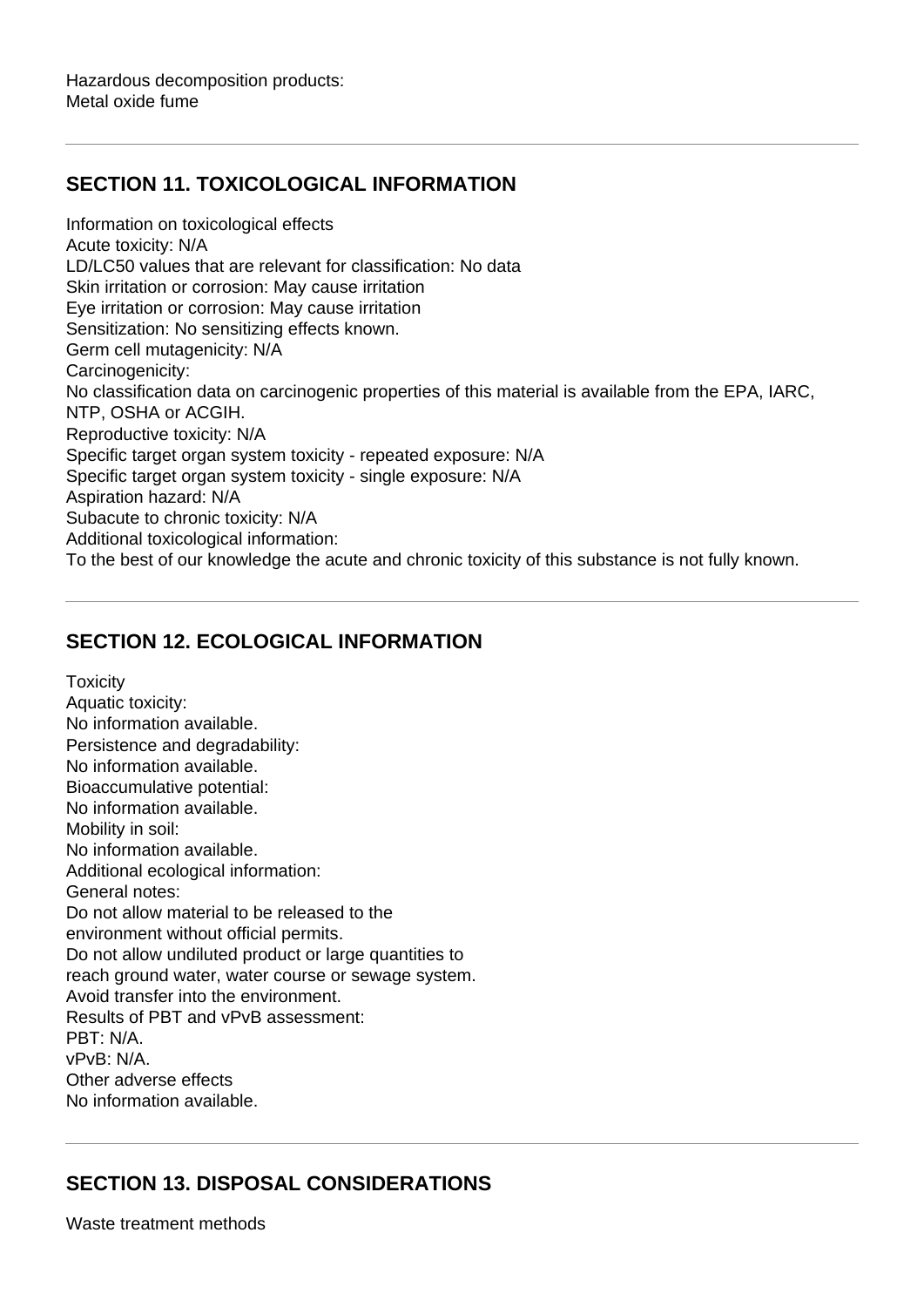## **SECTION 11. TOXICOLOGICAL INFORMATION**

Information on toxicological effects Acute toxicity: N/A LD/LC50 values that are relevant for classification: No data Skin irritation or corrosion: May cause irritation Eye irritation or corrosion: May cause irritation Sensitization: No sensitizing effects known. Germ cell mutagenicity: N/A Carcinogenicity: No classification data on carcinogenic properties of this material is available from the EPA, IARC, NTP, OSHA or ACGIH. Reproductive toxicity: N/A Specific target organ system toxicity - repeated exposure: N/A Specific target organ system toxicity - single exposure: N/A Aspiration hazard: N/A Subacute to chronic toxicity: N/A Additional toxicological information: To the best of our knowledge the acute and chronic toxicity of this substance is not fully known.

## **SECTION 12. ECOLOGICAL INFORMATION**

**Toxicity** Aquatic toxicity: No information available. Persistence and degradability: No information available. Bioaccumulative potential: No information available. Mobility in soil: No information available. Additional ecological information: General notes: Do not allow material to be released to the environment without official permits. Do not allow undiluted product or large quantities to reach ground water, water course or sewage system. Avoid transfer into the environment. Results of PBT and vPvB assessment: PBT: N/A. vPvB: N/A. Other adverse effects No information available.

## **SECTION 13. DISPOSAL CONSIDERATIONS**

Waste treatment methods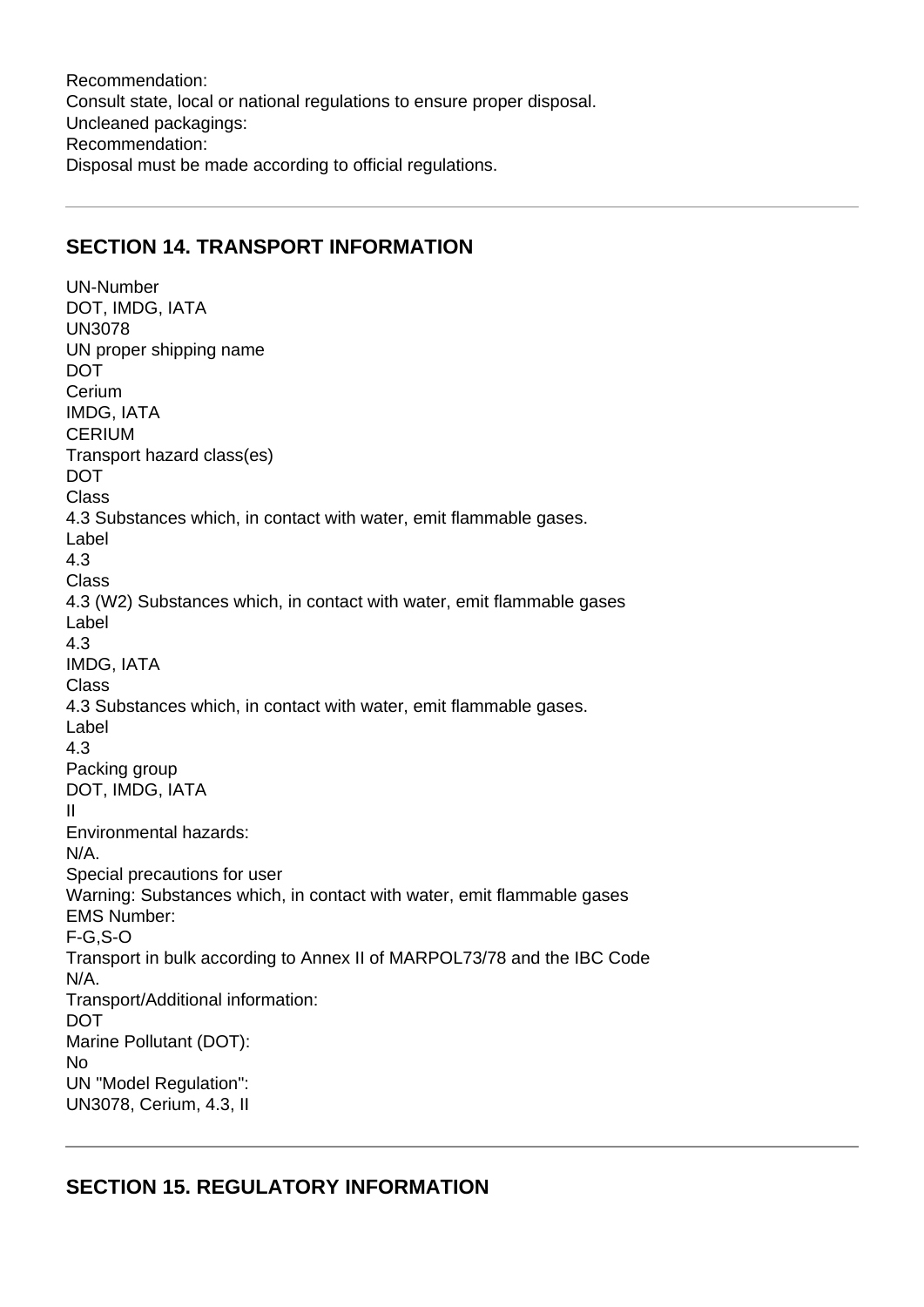Recommendation: Consult state, local or national regulations to ensure proper disposal. Uncleaned packagings: Recommendation: Disposal must be made according to official regulations.

#### **SECTION 14. TRANSPORT INFORMATION**

UN-Number DOT, IMDG, IATA UN3078 UN proper shipping name **DOT Cerium** IMDG, IATA CERIUM Transport hazard class(es) DOT Class 4.3 Substances which, in contact with water, emit flammable gases. Label 4.3 Class 4.3 (W2) Substances which, in contact with water, emit flammable gases Label 4.3 IMDG, IATA Class 4.3 Substances which, in contact with water, emit flammable gases. Label 4.3 Packing group DOT, IMDG, IATA II Environmental hazards: N/A. Special precautions for user Warning: Substances which, in contact with water, emit flammable gases EMS Number: F-G,S-O Transport in bulk according to Annex II of MARPOL73/78 and the IBC Code N/A. Transport/Additional information: **DOT** Marine Pollutant (DOT): No UN "Model Regulation": UN3078, Cerium, 4.3, II

#### **SECTION 15. REGULATORY INFORMATION**